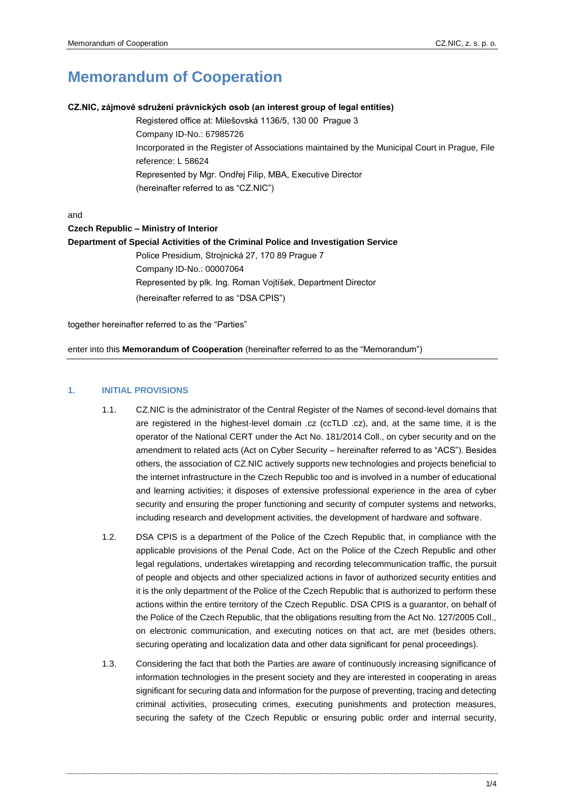# **Memorandum of Cooperation**

#### **CZ.NIC, zájmové sdružení právnických osob (an interest group of legal entities)**

Registered office at: Milešovská 1136/5, 130 00 Prague 3 Company ID-No.: 67985726 Incorporated in the Register of Associations maintained by the Municipal Court in Prague, File reference: L 58624 Represented by Mgr. Ondřej Filip, MBA, Executive Director (hereinafter referred to as "CZ.NIC")

and

#### **Czech Republic – Ministry of Interior**

**Department of Special Activities of the Criminal Police and Investigation Service**

Police Presidium, Strojnická 27, 170 89 Prague 7 Company ID-No.: 00007064 Represented by plk. Ing. Roman Vojtíšek, Department Director (hereinafter referred to as "DSA CPIS")

together hereinafter referred to as the "Parties"

enter into this **Memorandum of Cooperation** (hereinafter referred to as the "Memorandum")

#### **1. INITIAL PROVISIONS**

- 1.1. CZ.NIC is the administrator of the Central Register of the Names of second-level domains that are registered in the highest-level domain .cz (ccTLD .cz), and, at the same time, it is the operator of the National CERT under the Act No. 181/2014 Coll., on cyber security and on the amendment to related acts (Act on Cyber Security – hereinafter referred to as "ACS"). Besides others, the association of CZ.NIC actively supports new technologies and projects beneficial to the internet infrastructure in the Czech Republic too and is involved in a number of educational and learning activities; it disposes of extensive professional experience in the area of cyber security and ensuring the proper functioning and security of computer systems and networks, including research and development activities, the development of hardware and software.
- 1.2. DSA CPIS is a department of the Police of the Czech Republic that, in compliance with the applicable provisions of the Penal Code, Act on the Police of the Czech Republic and other legal regulations, undertakes wiretapping and recording telecommunication traffic, the pursuit of people and objects and other specialized actions in favor of authorized security entities and it is the only department of the Police of the Czech Republic that is authorized to perform these actions within the entire territory of the Czech Republic. DSA CPIS is a guarantor, on behalf of the Police of the Czech Republic, that the obligations resulting from the Act No. 127/2005 Coll., on electronic communication, and executing notices on that act, are met (besides others, securing operating and localization data and other data significant for penal proceedings).
- <span id="page-0-0"></span>1.3. Considering the fact that both the Parties are aware of continuously increasing significance of information technologies in the present society and they are interested in cooperating in areas significant for securing data and information for the purpose of preventing, tracing and detecting criminal activities, prosecuting crimes, executing punishments and protection measures, securing the safety of the Czech Republic or ensuring public order and internal security,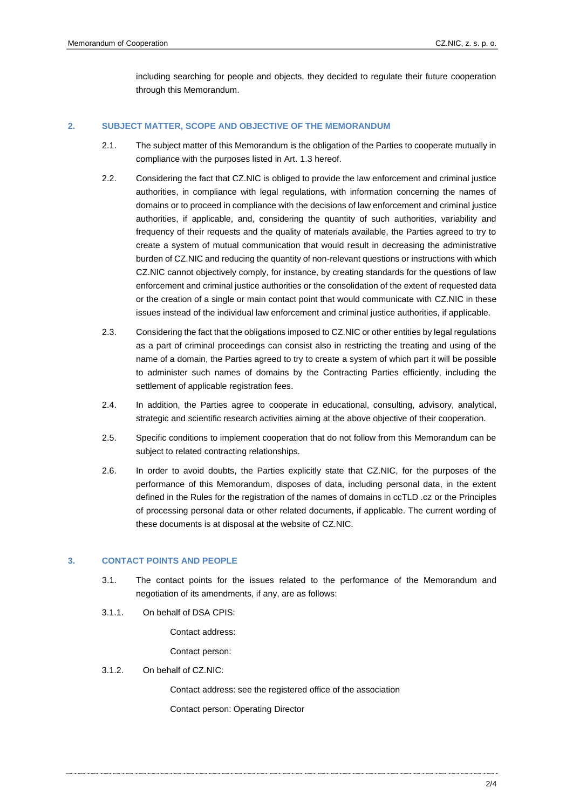including searching for people and objects, they decided to regulate their future cooperation through this Memorandum.

## **2. SUBJECT MATTER, SCOPE AND OBJECTIVE OF THE MEMORANDUM**

- 2.1. The subject matter of this Memorandum is the obligation of the Parties to cooperate mutually in compliance with the purposes listed in Art. [1.3](#page-0-0) hereof.
- 2.2. Considering the fact that CZ.NIC is obliged to provide the law enforcement and criminal justice authorities, in compliance with legal regulations, with information concerning the names of domains or to proceed in compliance with the decisions of law enforcement and criminal justice authorities, if applicable, and, considering the quantity of such authorities, variability and frequency of their requests and the quality of materials available, the Parties agreed to try to create a system of mutual communication that would result in decreasing the administrative burden of CZ.NIC and reducing the quantity of non-relevant questions or instructions with which CZ.NIC cannot objectively comply, for instance, by creating standards for the questions of law enforcement and criminal justice authorities or the consolidation of the extent of requested data or the creation of a single or main contact point that would communicate with CZ.NIC in these issues instead of the individual law enforcement and criminal justice authorities, if applicable.
- 2.3. Considering the fact that the obligations imposed to CZ.NIC or other entities by legal regulations as a part of criminal proceedings can consist also in restricting the treating and using of the name of a domain, the Parties agreed to try to create a system of which part it will be possible to administer such names of domains by the Contracting Parties efficiently, including the settlement of applicable registration fees.
- 2.4. In addition, the Parties agree to cooperate in educational, consulting, advisory, analytical, strategic and scientific research activities aiming at the above objective of their cooperation.
- 2.5. Specific conditions to implement cooperation that do not follow from this Memorandum can be subject to related contracting relationships.
- 2.6. In order to avoid doubts, the Parties explicitly state that CZ.NIC, for the purposes of the performance of this Memorandum, disposes of data, including personal data, in the extent defined in the Rules for the registration of the names of domains in ccTLD .cz or the Principles of processing personal data or other related documents, if applicable. The current wording of these documents is at disposal at the website of CZ.NIC.

#### **3. CONTACT POINTS AND PEOPLE**

- 3.1. The contact points for the issues related to the performance of the Memorandum and negotiation of its amendments, if any, are as follows:
- 3.1.1. On behalf of DSA CPIS:

Contact address:

Contact person:

3.1.2. On behalf of CZ.NIC:

 Contact address: see the registered office of the association Contact person: Operating Director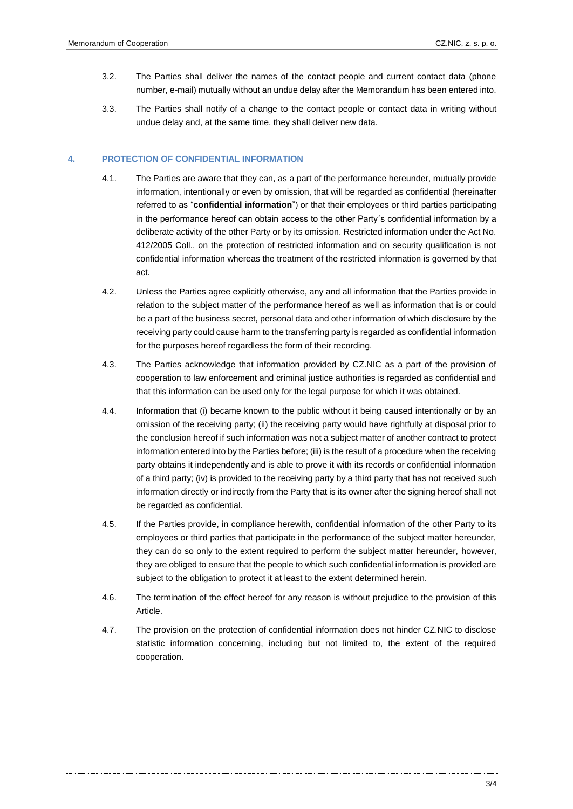- 3.2. The Parties shall deliver the names of the contact people and current contact data (phone number, e-mail) mutually without an undue delay after the Memorandum has been entered into.
- 3.3. The Parties shall notify of a change to the contact people or contact data in writing without undue delay and, at the same time, they shall deliver new data.

# <span id="page-2-0"></span>**4. PROTECTION OF CONFIDENTIAL INFORMATION**

- 4.1. The Parties are aware that they can, as a part of the performance hereunder, mutually provide information, intentionally or even by omission, that will be regarded as confidential (hereinafter referred to as "**confidential information**") or that their employees or third parties participating in the performance hereof can obtain access to the other Party´s confidential information by a deliberate activity of the other Party or by its omission. Restricted information under the Act No. 412/2005 Coll., on the protection of restricted information and on security qualification is not confidential information whereas the treatment of the restricted information is governed by that act.
- 4.2. Unless the Parties agree explicitly otherwise, any and all information that the Parties provide in relation to the subject matter of the performance hereof as well as information that is or could be a part of the business secret, personal data and other information of which disclosure by the receiving party could cause harm to the transferring party is regarded as confidential information for the purposes hereof regardless the form of their recording.
- 4.3. The Parties acknowledge that information provided by CZ.NIC as a part of the provision of cooperation to law enforcement and criminal justice authorities is regarded as confidential and that this information can be used only for the legal purpose for which it was obtained.
- 4.4. Information that (i) became known to the public without it being caused intentionally or by an omission of the receiving party; (ii) the receiving party would have rightfully at disposal prior to the conclusion hereof if such information was not a subject matter of another contract to protect information entered into by the Parties before; (iii) is the result of a procedure when the receiving party obtains it independently and is able to prove it with its records or confidential information of a third party; (iv) is provided to the receiving party by a third party that has not received such information directly or indirectly from the Party that is its owner after the signing hereof shall not be regarded as confidential.
- 4.5. If the Parties provide, in compliance herewith, confidential information of the other Party to its employees or third parties that participate in the performance of the subject matter hereunder, they can do so only to the extent required to perform the subject matter hereunder, however, they are obliged to ensure that the people to which such confidential information is provided are subject to the obligation to protect it at least to the extent determined herein.
- 4.6. The termination of the effect hereof for any reason is without prejudice to the provision of this Article.
- 4.7. The provision on the protection of confidential information does not hinder CZ.NIC to disclose statistic information concerning, including but not limited to, the extent of the required cooperation.